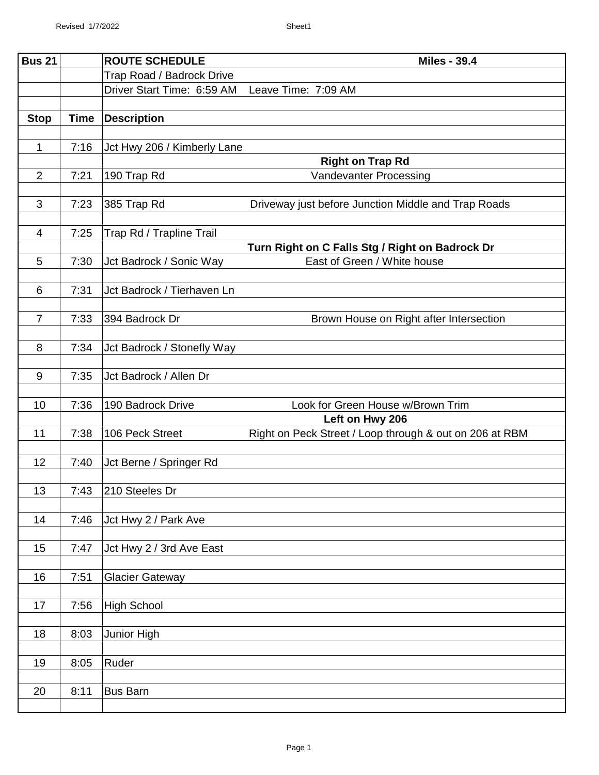| <b>Bus 21</b>  |             | <b>ROUTE SCHEDULE</b><br><b>Miles - 39.4</b>                               |
|----------------|-------------|----------------------------------------------------------------------------|
|                |             | Trap Road / Badrock Drive                                                  |
|                |             | Driver Start Time: 6:59 AM<br>Leave Time: 7:09 AM                          |
| <b>Stop</b>    | <b>Time</b> | <b>Description</b>                                                         |
|                |             |                                                                            |
| 1              | 7:16        | Jct Hwy 206 / Kimberly Lane                                                |
|                |             | <b>Right on Trap Rd</b>                                                    |
| $\overline{2}$ | 7:21        | 190 Trap Rd<br>Vandevanter Processing                                      |
| 3              | 7:23        | 385 Trap Rd<br>Driveway just before Junction Middle and Trap Roads         |
|                |             |                                                                            |
| $\overline{4}$ | 7:25        | Trap Rd / Trapline Trail                                                   |
|                |             | Turn Right on C Falls Stg / Right on Badrock Dr                            |
| 5              | 7:30        | East of Green / White house<br>Jct Badrock / Sonic Way                     |
|                |             |                                                                            |
| 6              | 7:31        | Jct Badrock / Tierhaven Ln                                                 |
|                |             |                                                                            |
| $\overline{7}$ | 7:33        | 394 Badrock Dr<br>Brown House on Right after Intersection                  |
| 8              | 7:34        |                                                                            |
|                |             | Jct Badrock / Stonefly Way                                                 |
| 9              | 7:35        | Jct Badrock / Allen Dr                                                     |
|                |             |                                                                            |
| 10             | 7:36        | 190 Badrock Drive<br>Look for Green House w/Brown Trim                     |
|                |             | Left on Hwy 206                                                            |
| 11             | 7:38        | Right on Peck Street / Loop through & out on 206 at RBM<br>106 Peck Street |
|                |             |                                                                            |
| 12             | 7:40        | Jct Berne / Springer Rd                                                    |
|                |             |                                                                            |
| 13             | 7:43        | 210 Steeles Dr                                                             |
| 14             | 7:46        | Jct Hwy 2 / Park Ave                                                       |
|                |             |                                                                            |
| 15             | 7:47        | Jct Hwy 2 / 3rd Ave East                                                   |
|                |             |                                                                            |
| 16             | 7:51        | <b>Glacier Gateway</b>                                                     |
|                |             |                                                                            |
| 17             | 7:56        | <b>High School</b>                                                         |
|                |             |                                                                            |
| 18             | 8:03        | Junior High                                                                |
| 19             | 8:05        | Ruder                                                                      |
|                |             |                                                                            |
| 20             | 8:11        | <b>Bus Barn</b>                                                            |
|                |             |                                                                            |